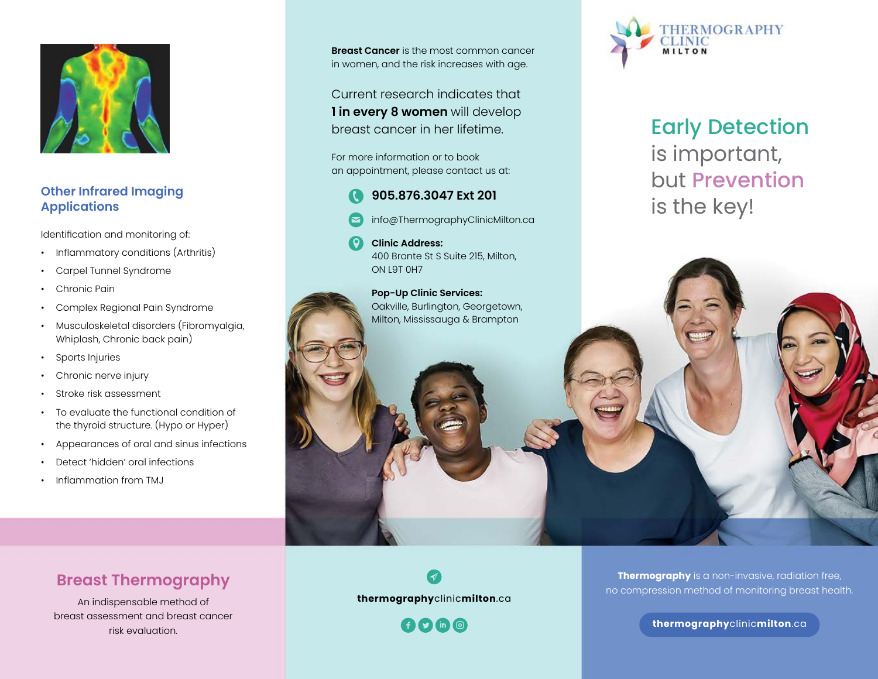

## **Other Infrared Imaging Applications**

Identification and monitoring of:

- Inflammatory conditions (Arthritis)
- Carpel Tunnel Syndrome
- Chronic Pain
- Complex Regional Pain Syndrome
- Musculoskeletal disorders (Fibromyalgia, Whiplash, Chronic back pain)
- Sports Injuries
- Chronic nerve injury
- Stroke risk assessment
- To evaluate the functional condition of the thyroid structure. (Hypo or Hyper)
- Appearances of oral and sinus infections
- Detect 'hidden' oral infections
- Inflammation from TMJ

**Breast Cancer** is the most common cancer in women, and the risk increases with age.

Current research indicates that **1 in every 8 women** will develop breast cancer in her lifetime.

For more information or to book an appointment, please contact us at:



- info@ThermographyClinicMilton.ca
- **Clinic Address:** 400 Bronte St S Suite 215, Milton, ON L9T 0H7

#### **Pop-Up Clinic Services:** Oakville, Burlington, Georgetown, Milton, Mississauga & Brampton



Early Detection is important, but Prevention is the key!

# **Breast Thermography**

An indispensable method of breast assessment and breast cancer risk evaluation.



**ADDO** 

**Thermography** is a non-invasive, radiation free, no compression method of monitoring breast health.

**thermography**clinic**milton**.ca